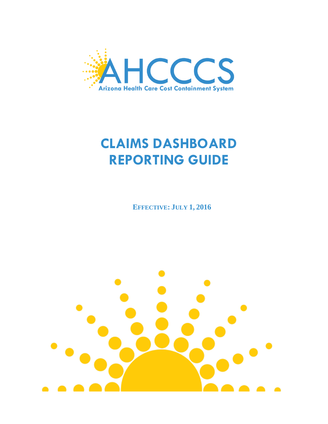

**EFFECTIVE: JULY 1, 2016**

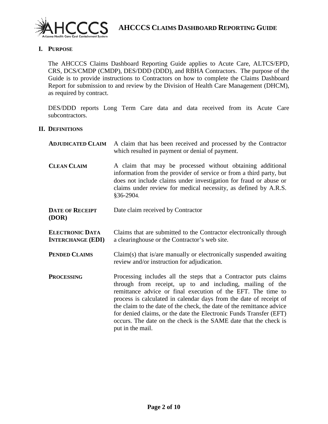

# **I. PURPOSE**

The AHCCCS Claims Dashboard Reporting Guide applies to Acute Care, ALTCS/EPD, CRS, DCS/CMDP (CMDP), DES/DDD (DDD), and RBHA Contractors. The purpose of the Guide is to provide instructions to Contractors on how to complete the Claims Dashboard Report for submission to and review by the Division of Health Care Management (DHCM), as required by contract.

DES/DDD reports Long Term Care data and data received from its Acute Care subcontractors.

#### **II. DEFINITIONS**

| <b>ADJUDICATED CLAIM</b>                           | A claim that has been received and processed by the Contractor<br>which resulted in payment or denial of payment.                                                                                                                                                                                                                                                                                                                                                                                         |  |
|----------------------------------------------------|-----------------------------------------------------------------------------------------------------------------------------------------------------------------------------------------------------------------------------------------------------------------------------------------------------------------------------------------------------------------------------------------------------------------------------------------------------------------------------------------------------------|--|
| <b>CLEAN CLAIM</b>                                 | A claim that may be processed without obtaining additional<br>information from the provider of service or from a third party, but<br>does not include claims under investigation for fraud or abuse or<br>claims under review for medical necessity, as defined by A.R.S.<br>§36-2904.                                                                                                                                                                                                                    |  |
| <b>DATE OF RECEIPT</b><br>(DOR)                    | Date claim received by Contractor                                                                                                                                                                                                                                                                                                                                                                                                                                                                         |  |
| <b>ELECTRONIC DATA</b><br><b>INTERCHANGE (EDI)</b> | Claims that are submitted to the Contractor electronically through<br>a clearinghouse or the Contractor's web site.                                                                                                                                                                                                                                                                                                                                                                                       |  |
| <b>PENDED CLAIMS</b>                               | Claim(s) that is/are manually or electronically suspended awaiting<br>review and/or instruction for adjudication.                                                                                                                                                                                                                                                                                                                                                                                         |  |
| <b>PROCESSING</b>                                  | Processing includes all the steps that a Contractor puts claims<br>through from receipt, up to and including, mailing of the<br>remittance advice or final execution of the EFT. The time to<br>process is calculated in calendar days from the date of receipt of<br>the claim to the date of the check, the date of the remittance advice<br>for denied claims, or the date the Electronic Funds Transfer (EFT)<br>occurs. The date on the check is the SAME date that the check is<br>put in the mail. |  |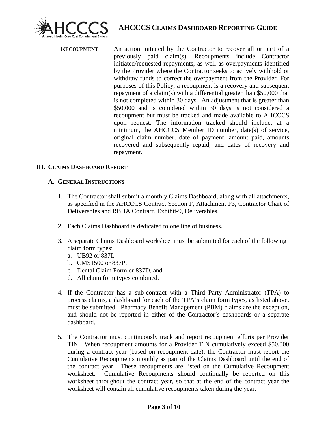

**RECOUPMENT** An action initiated by the Contractor to recover all or part of a previously paid claim(s). Recoupments include Contractor initiated/requested repayments, as well as overpayments identified by the Provider where the Contractor seeks to actively withhold or withdraw funds to correct the overpayment from the Provider. For purposes of this Policy, a recoupment is a recovery and subsequent repayment of a claim(s) with a differential greater than \$50,000 that is not completed within 30 days. An adjustment that is greater than \$50,000 and is completed within 30 days is not considered a recoupment but must be tracked and made available to AHCCCS upon request. The information tracked should include, at a minimum, the AHCCCS Member ID number, date(s) of service, original claim number, date of payment, amount paid, amounts recovered and subsequently repaid, and dates of recovery and repayment.

# **III. CLAIMS DASHBOARD REPORT**

#### **A. GENERAL INSTRUCTIONS**

- 1. The Contractor shall submit a monthly Claims Dashboard, along with all attachments, as specified in the AHCCCS Contract Section F, Attachment F3, Contractor Chart of Deliverables and RBHA Contract, Exhibit-9, Deliverables.
- 2. Each Claims Dashboard is dedicated to one line of business.
- 3. A separate Claims Dashboard worksheet must be submitted for each of the following claim form types:
	- a. UB92 or 837I,
	- b. CMS1500 or 837P,
	- c. Dental Claim Form or 837D, and
	- d. All claim form types combined.
- 4. If the Contractor has a sub-contract with a Third Party Administrator (TPA) to process claims, a dashboard for each of the TPA's claim form types, as listed above, must be submitted. Pharmacy Benefit Management (PBM) claims are the exception, and should not be reported in either of the Contractor's dashboards or a separate dashboard.
- 5. The Contractor must continuously track and report recoupment efforts per Provider TIN. When recoupment amounts for a Provider TIN cumulatively exceed \$50,000 during a contract year (based on recoupment date), the Contractor must report the Cumulative Recoupments monthly as part of the Claims Dashboard until the end of the contract year. These recoupments are listed on the Cumulative Recoupment worksheet. Cumulative Recoupments should continually be reported on this worksheet throughout the contract year, so that at the end of the contract year the worksheet will contain all cumulative recoupments taken during the year.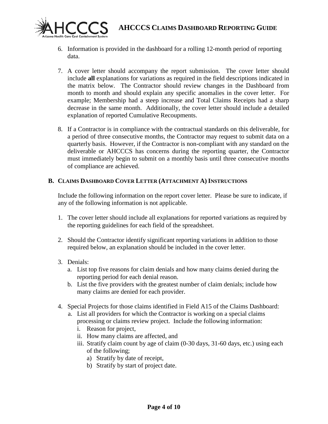

- 6. Information is provided in the dashboard for a rolling 12-month period of reporting data.
- 7. A cover letter should accompany the report submission. The cover letter should include **all** explanations for variations as required in the field descriptions indicated in the matrix below. The Contractor should review changes in the Dashboard from month to month and should explain any specific anomalies in the cover letter. For example; Membership had a steep increase and Total Claims Receipts had a sharp decrease in the same month. Additionally, the cover letter should include a detailed explanation of reported Cumulative Recoupments.
- 8. If a Contractor is in compliance with the contractual standards on this deliverable, for a period of three consecutive months, the Contractor may request to submit data on a quarterly basis. However, if the Contractor is non-compliant with any standard on the deliverable or AHCCCS has concerns during the reporting quarter, the Contractor must immediately begin to submit on a monthly basis until three consecutive months of compliance are achieved.

# **B. CLAIMS DASHBOARD COVER LETTER (ATTACHMENT A) INSTRUCTIONS**

Include the following information on the report cover letter. Please be sure to indicate, if any of the following information is not applicable.

- 1. The cover letter should include all explanations for reported variations as required by the reporting guidelines for each field of the spreadsheet.
- 2. Should the Contractor identify significant reporting variations in addition to those required below, an explanation should be included in the cover letter.
- 3. Denials:
	- a. List top five reasons for claim denials and how many claims denied during the reporting period for each denial reason.
	- b. List the five providers with the greatest number of claim denials; include how many claims are denied for each provider.
- 4. Special Projects for those claims identified in Field A15 of the Claims Dashboard:
	- a. List all providers for which the Contractor is working on a special claims processing or claims review project. Include the following information:
		- i. Reason for project,
		- ii. How many claims are affected, and
		- iii. Stratify claim count by age of claim (0-30 days, 31-60 days, etc.) using each of the following;
			- a) Stratify by date of receipt,
			- b) Stratify by start of project date.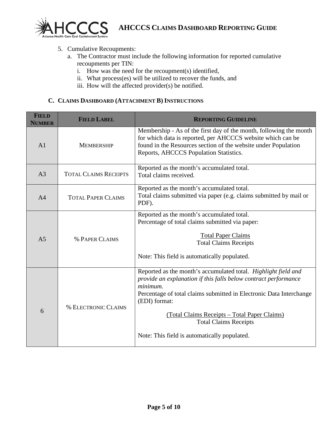

# 5. Cumulative Recoupments:

- a. The Contractor must include the following information for reported cumulative recoupments per TIN:
	- i. How was the need for the recoupment(s) identified,
	- ii. What process(es) will be utilized to recover the funds, and
	- iii. How will the affected provider(s) be notified.

## **C. CLAIMS DASHBOARD (ATTACHMENT B) INSTRUCTIONS**

| <b>FIELD</b><br><b>NUMBER</b> | <b>FIELD LABEL</b>           | <b>REPORTING GUIDELINE</b>                                                                                                                                                                                                                                                                                                                                            |
|-------------------------------|------------------------------|-----------------------------------------------------------------------------------------------------------------------------------------------------------------------------------------------------------------------------------------------------------------------------------------------------------------------------------------------------------------------|
| A <sub>1</sub>                | <b>MEMBERSHIP</b>            | Membership - As of the first day of the month, following the month<br>for which data is reported, per AHCCCS website which can be<br>found in the Resources section of the website under Population<br>Reports, AHCCCS Population Statistics.                                                                                                                         |
| A <sub>3</sub>                | <b>TOTAL CLAIMS RECEIPTS</b> | Reported as the month's accumulated total.<br>Total claims received.                                                                                                                                                                                                                                                                                                  |
| A <sub>4</sub>                | <b>TOTAL PAPER CLAIMS</b>    | Reported as the month's accumulated total.<br>Total claims submitted via paper (e.g. claims submitted by mail or<br>PDF).                                                                                                                                                                                                                                             |
| A <sub>5</sub>                | % PAPER CLAIMS               | Reported as the month's accumulated total.<br>Percentage of total claims submitted via paper:<br><b>Total Paper Claims</b><br><b>Total Claims Receipts</b><br>Note: This field is automatically populated.                                                                                                                                                            |
| 6                             | <b>% ELECTRONIC CLAIMS</b>   | Reported as the month's accumulated total. Highlight field and<br>provide an explanation if this falls below contract performance<br>minimum.<br>Percentage of total claims submitted in Electronic Data Interchange<br>(EDI) format:<br>(Total Claims Receipts – Total Paper Claims)<br><b>Total Claims Receipts</b><br>Note: This field is automatically populated. |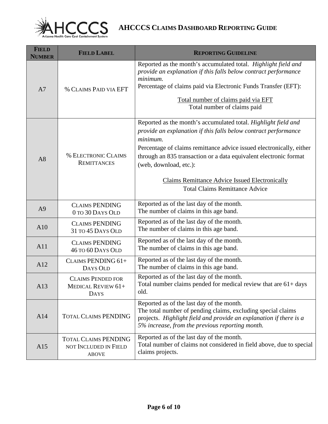

| <b>FIELD</b><br><b>NUMBER</b> | <b>FIELD LABEL</b>                                                   | <b>REPORTING GUIDELINE</b>                                                                                                                                                                                                                                                                                                                                                                                             |
|-------------------------------|----------------------------------------------------------------------|------------------------------------------------------------------------------------------------------------------------------------------------------------------------------------------------------------------------------------------------------------------------------------------------------------------------------------------------------------------------------------------------------------------------|
| A7                            | % CLAIMS PAID VIA EFT                                                | Reported as the month's accumulated total. Highlight field and<br>provide an explanation if this falls below contract performance<br>minimum.<br>Percentage of claims paid via Electronic Funds Transfer (EFT):<br>Total number of claims paid via EFT<br>Total number of claims paid                                                                                                                                  |
| A8                            | <b>% ELECTRONIC CLAIMS</b><br><b>REMITTANCES</b>                     | Reported as the month's accumulated total. Highlight field and<br>provide an explanation if this falls below contract performance<br>minimum.<br>Percentage of claims remittance advice issued electronically, either<br>through an 835 transaction or a data equivalent electronic format<br>(web, download, etc.):<br><b>Claims Remittance Advice Issued Electronically</b><br><b>Total Claims Remittance Advice</b> |
| A <sub>9</sub>                | <b>CLAIMS PENDING</b><br>0 TO 30 DAYS OLD                            | Reported as of the last day of the month.<br>The number of claims in this age band.                                                                                                                                                                                                                                                                                                                                    |
| A10                           | <b>CLAIMS PENDING</b><br>31 TO 45 DAYS OLD                           | Reported as of the last day of the month.<br>The number of claims in this age band.                                                                                                                                                                                                                                                                                                                                    |
| A11                           | <b>CLAIMS PENDING</b><br><b>46 TO 60 DAYS OLD</b>                    | Reported as of the last day of the month.<br>The number of claims in this age band.                                                                                                                                                                                                                                                                                                                                    |
| A12                           | CLAIMS PENDING 61+<br>DAYS OLD                                       | Reported as of the last day of the month.<br>The number of claims in this age band.                                                                                                                                                                                                                                                                                                                                    |
| A13                           | <b>CLAIMS PENDED FOR</b><br><b>MEDICAL REVIEW 61+</b><br><b>DAYS</b> | Reported as of the last day of the month.<br>Total number claims pended for medical review that are $61 + days$<br>old.                                                                                                                                                                                                                                                                                                |
| A14                           | <b>TOTAL CLAIMS PENDING</b>                                          | Reported as of the last day of the month.<br>The total number of pending claims, excluding special claims<br>projects. Highlight field and provide an explanation if there is a<br>5% increase, from the previous reporting month.                                                                                                                                                                                     |
| A15                           | <b>TOTAL CLAIMS PENDING</b><br>NOT INCLUDED IN FIELD<br><b>ABOVE</b> | Reported as of the last day of the month.<br>Total number of claims not considered in field above, due to special<br>claims projects.                                                                                                                                                                                                                                                                                  |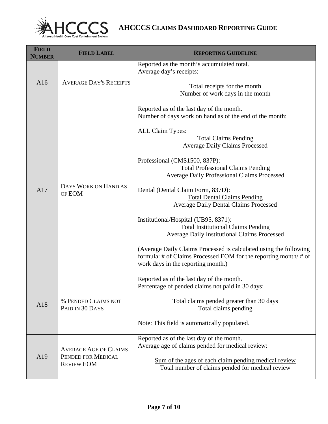

| <b>FIELD</b><br><b>NUMBER</b> | <b>FIELD LABEL</b>                                                      | <b>REPORTING GUIDELINE</b>                                                                                                                                                                                                                                                                                                                                                                                                                                                                                                                                                                                                                                                                                                                                                                |
|-------------------------------|-------------------------------------------------------------------------|-------------------------------------------------------------------------------------------------------------------------------------------------------------------------------------------------------------------------------------------------------------------------------------------------------------------------------------------------------------------------------------------------------------------------------------------------------------------------------------------------------------------------------------------------------------------------------------------------------------------------------------------------------------------------------------------------------------------------------------------------------------------------------------------|
| A16                           | <b>AVERAGE DAY'S RECEIPTS</b>                                           | Reported as the month's accumulated total.<br>Average day's receipts:<br>Total receipts for the month<br>Number of work days in the month                                                                                                                                                                                                                                                                                                                                                                                                                                                                                                                                                                                                                                                 |
| A17                           | DAYS WORK ON HAND AS<br>OF EOM                                          | Reported as of the last day of the month.<br>Number of days work on hand as of the end of the month:<br>ALL Claim Types:<br><b>Total Claims Pending</b><br><b>Average Daily Claims Processed</b><br>Professional (CMS1500, 837P):<br><b>Total Professional Claims Pending</b><br><b>Average Daily Professional Claims Processed</b><br>Dental (Dental Claim Form, 837D):<br><b>Total Dental Claims Pending</b><br><b>Average Daily Dental Claims Processed</b><br>Institutional/Hospital (UB95, 8371):<br><b>Total Institutional Claims Pending</b><br><b>Average Daily Institutional Claims Processed</b><br>(Average Daily Claims Processed is calculated using the following<br>formula: # of Claims Processed EOM for the reporting month/ # of<br>work days in the reporting month.) |
| A18                           | % PENDED CLAIMS NOT<br>PAID IN 30 DAYS                                  | Reported as of the last day of the month.<br>Percentage of pended claims not paid in 30 days:<br>Total claims pended greater than 30 days<br>Total claims pending<br>Note: This field is automatically populated.                                                                                                                                                                                                                                                                                                                                                                                                                                                                                                                                                                         |
| A19                           | <b>AVERAGE AGE OF CLAIMS</b><br>PENDED FOR MEDICAL<br><b>REVIEW EOM</b> | Reported as of the last day of the month.<br>Average age of claims pended for medical review:<br>Sum of the ages of each claim pending medical review<br>Total number of claims pended for medical review                                                                                                                                                                                                                                                                                                                                                                                                                                                                                                                                                                                 |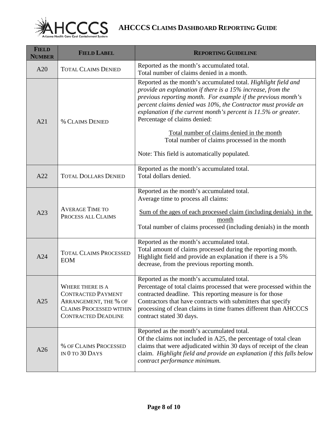

| <b>FIELD</b><br><b>NUMBER</b> | <b>FIELD LABEL</b>                                                                                                                     | <b>REPORTING GUIDELINE</b>                                                                                                                                                                                                                                                                                                                                                                                          |
|-------------------------------|----------------------------------------------------------------------------------------------------------------------------------------|---------------------------------------------------------------------------------------------------------------------------------------------------------------------------------------------------------------------------------------------------------------------------------------------------------------------------------------------------------------------------------------------------------------------|
| A20                           | <b>TOTAL CLAIMS DENIED</b>                                                                                                             | Reported as the month's accumulated total.<br>Total number of claims denied in a month.                                                                                                                                                                                                                                                                                                                             |
| A21                           | <b>% CLAIMS DENIED</b>                                                                                                                 | Reported as the month's accumulated total. Highlight field and<br>provide an explanation if there is a 15% increase, from the<br>previous reporting month. For example if the previous month's<br>percent claims denied was 10%, the Contractor must provide an<br>explanation if the current month's percent is $11.5\%$ or greater.<br>Percentage of claims denied:<br>Total number of claims denied in the month |
|                               |                                                                                                                                        | Total number of claims processed in the month<br>Note: This field is automatically populated.                                                                                                                                                                                                                                                                                                                       |
| A22                           | <b>TOTAL DOLLARS DENIED</b>                                                                                                            | Reported as the month's accumulated total.<br>Total dollars denied.                                                                                                                                                                                                                                                                                                                                                 |
| A23                           | <b>AVERAGE TIME TO</b><br>PROCESS ALL CLAIMS                                                                                           | Reported as the month's accumulated total.<br>Average time to process all claims:<br>Sum of the ages of each processed claim (including denials) in the<br>month<br>Total number of claims processed (including denials) in the month                                                                                                                                                                               |
| A24                           | <b>TOTAL CLAIMS PROCESSED</b><br><b>EOM</b>                                                                                            | Reported as the month's accumulated total.<br>Total amount of claims processed during the reporting month.<br>Highlight field and provide an explanation if there is a 5%<br>decrease, from the previous reporting month.                                                                                                                                                                                           |
| A25                           | WHERE THERE IS A<br><b>CONTRACTED PAYMENT</b><br>ARRANGEMENT, THE % OF<br><b>CLAIMS PROCESSED WITHIN</b><br><b>CONTRACTED DEADLINE</b> | Reported as the month's accumulated total.<br>Percentage of total claims processed that were processed within the<br>contracted deadline. This reporting measure is for those<br>Contractors that have contracts with submitters that specify<br>processing of clean claims in time frames different than AHCCCS<br>contract stated 30 days.                                                                        |
| A26                           | % OF CLAIMS PROCESSED<br>IN $0$ to $30$ Days                                                                                           | Reported as the month's accumulated total.<br>Of the claims not included in A25, the percentage of total clean<br>claims that were adjudicated within 30 days of receipt of the clean<br>claim. Highlight field and provide an explanation if this falls below<br>contract performance minimum.                                                                                                                     |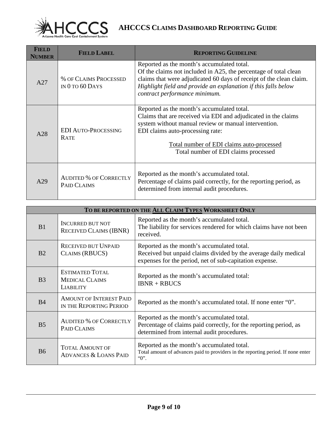

| <b>FIELD</b><br>NUMBER | <b>FIELD LABEL</b>                                  | <b>REPORTING GUIDELINE</b>                                                                                                                                                                                                                                                                    |
|------------------------|-----------------------------------------------------|-----------------------------------------------------------------------------------------------------------------------------------------------------------------------------------------------------------------------------------------------------------------------------------------------|
| A27                    | <b>% OF CLAIMS PROCESSED</b><br>IN $0$ to $60$ Days | Reported as the month's accumulated total.<br>Of the claims not included in A25, the percentage of total clean<br>claims that were adjudicated 60 days of receipt of the clean claim.<br>Highlight field and provide an explanation if this falls below<br>contract performance minimum.      |
| A28                    | <b>EDI AUTO-PROCESSING</b><br><b>RATE</b>           | Reported as the month's accumulated total.<br>Claims that are received via EDI and adjudicated in the claims<br>system without manual review or manual intervention.<br>EDI claims auto-processing rate:<br>Total number of EDI claims auto-processed<br>Total number of EDI claims processed |
| A29                    | <b>AUDITED % OF CORRECTLY</b><br>PAID CLAIMS        | Reported as the month's accumulated total.<br>Percentage of claims paid correctly, for the reporting period, as<br>determined from internal audit procedures.                                                                                                                                 |

| TO BE REPORTED ON THE ALL CLAIM TYPES WORKSHEET ONLY |                                                                     |                                                                                                                                                                          |
|------------------------------------------------------|---------------------------------------------------------------------|--------------------------------------------------------------------------------------------------------------------------------------------------------------------------|
| B1                                                   | <b>INCURRED BUT NOT</b><br><b>RECEIVED CLAIMS (IBNR)</b>            | Reported as the month's accumulated total.<br>The liability for services rendered for which claims have not been<br>received.                                            |
| B <sub>2</sub>                                       | <b>RECEIVED BUT UNPAID</b><br>CLAIMS (RBUCS)                        | Reported as the month's accumulated total.<br>Received but unpaid claims divided by the average daily medical<br>expenses for the period, net of sub-capitation expense. |
| B <sub>3</sub>                                       | <b>ESTIMATED TOTAL</b><br><b>MEDICAL CLAIMS</b><br><b>LIABILITY</b> | Reported as the month's accumulated total:<br>$IBNR + RBUCS$                                                                                                             |
| B <sub>4</sub>                                       | <b>AMOUNT OF INTEREST PAID</b><br>IN THE REPORTING PERIOD           | Reported as the month's accumulated total. If none enter "0".                                                                                                            |
| B <sub>5</sub>                                       | <b>AUDITED % OF CORRECTLY</b><br>PAID CLAIMS                        | Reported as the month's accumulated total.<br>Percentage of claims paid correctly, for the reporting period, as<br>determined from internal audit procedures.            |
| <b>B6</b>                                            | <b>TOTAL AMOUNT OF</b><br><b>ADVANCES &amp; LOANS PAID</b>          | Reported as the month's accumulated total.<br>Total amount of advances paid to providers in the reporting period. If none enter<br>$"0"$ .                               |